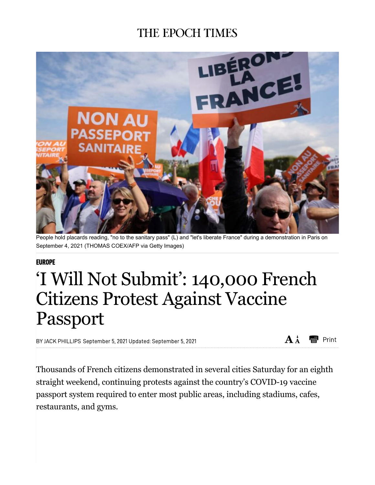## THE EPOCH TIMES



People hold placards reading, "no to the sanitary pass" (L) and "let's liberate France" during a demonstration in Paris on September 4, 2021 (THOMAS COEX/AFP via Getty Images)

## **EUROPE**

## 'I Will Not Submit': 140,000 French Citizens Protest Against Vaccine Passport

BY JACK PHILLIPS September 5, 2021 Updated: September 5, 2021

 $A \dot{A}$ esent Print

Thousands of French citizens demonstrated in several cities Saturday for an eighth straight weekend, continuing protests against the country's COVID-19 vaccine passport system required to enter most public areas, including stadiums, cafes, restaurants, and gyms.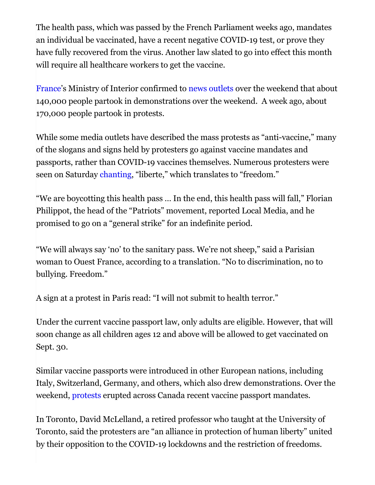The health pass, which was passed by the French Parliament weeks ago, mandates an individual be vaccinated, have a recent negative COVID-19 test, or prove they have fully recovered from the virus. Another law slated to go into effect this month will require all healthcare workers to get the vaccine.

France's Ministry of Interior confirmed to news outlets over the weekend that about 140,000 people partook in demonstrations over the weekend. A week ago, about 170,000 people partook in protests.

While some media outlets have described the mass protests as "anti-vaccine," many of the slogans and signs held by protesters go against vaccine mandates and passports, rather than COVID-19 vaccines themselves. Numerous protesters were seen on Saturday chanting, "liberte," which translates to "freedom."

"We are boycotting this health pass … In the end, this health pass will fall," Florian Philippot, the head of the "Patriots" movement, reported Local Media, and he promised to go on a "general strike" for an indefinite period.

"We will always say 'no' to the sanitary pass. We're not sheep," said a Parisian woman to Ouest France, according to a translation. "No to discrimination, no to bullying. Freedom."

A sign at a protest in Paris read: "I will not submit to health terror."

Under the current vaccine passport law, only adults are eligible. However, that will soon change as all children ages 12 and above will be allowed to get vaccinated on Sept. 30.

Similar vaccine passports were introduced in other European nations, including Italy, Switzerland, Germany, and others, which also drew demonstrations. Over the weekend, protests erupted across Canada recent vaccine passport mandates.

In Toronto, David McLelland, a retired professor who taught at the University of Toronto, said the protesters are "an alliance in protection of human liberty" united by their opposition to the COVID-19 lockdowns and the restriction of freedoms.